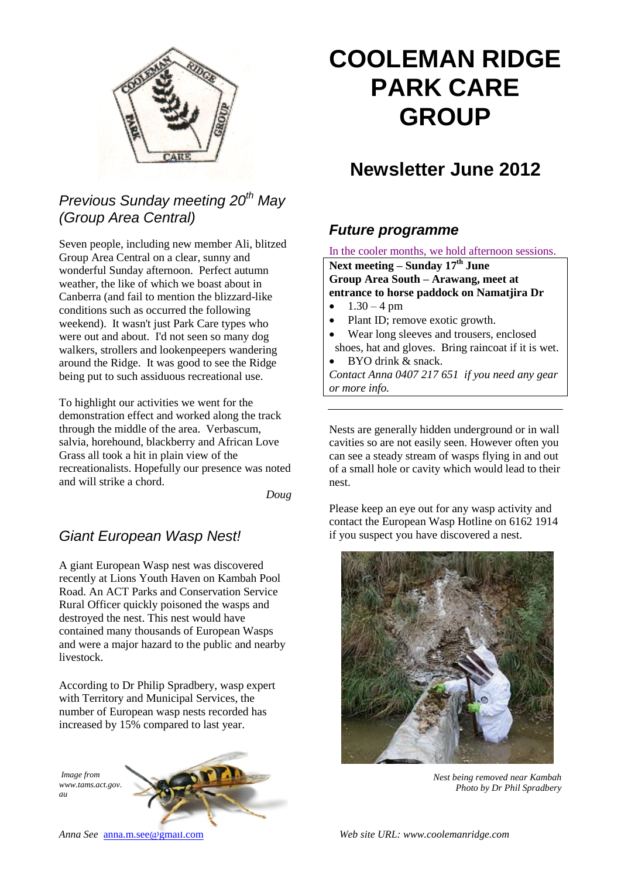

## *Previous Sunday meeting 20th May (Group Area Central)*

Seven people, including new member Ali, blitzed Group Area Central on a clear, sunny and wonderful Sunday afternoon. Perfect autumn weather, the like of which we boast about in Canberra (and fail to mention the blizzard-like conditions such as occurred the following weekend). It wasn't just Park Care types who were out and about. I'd not seen so many dog walkers, strollers and lookenpeepers wandering around the Ridge. It was good to see the Ridge being put to such assiduous recreational use.

To highlight our activities we went for the demonstration effect and worked along the track through the middle of the area. Verbascum, salvia, horehound, blackberry and African Love Grass all took a hit in plain view of the recreationalists. Hopefully our presence was noted and will strike a chord.

*Doug*

### *Giant European Wasp Nest!*

A giant European Wasp nest was discovered recently at Lions Youth Haven on Kambah Pool Road. An ACT Parks and Conservation Service Rural Officer quickly poisoned the wasps and destroyed the nest. This nest would have contained many thousands of European Wasps and were a major hazard to the public and nearby livestock.

According to Dr Philip Spradbery, wasp expert with Territory and Municipal Services, the number of European wasp nests recorded has increased by 15% compared to last year.

*Image from www.tams.act.gov. au*



# **COOLEMAN RIDGE PARK CARE GROUP**

## **Newsletter June 2012**

### *Future programme*

In the cooler months, we hold afternoon sessions.

**Next meeting – Sunday 17th June Group Area South – Arawang, meet at entrance to horse paddock on Namatjira Dr**

- $1.30 4 \text{ pm}$
- Plant ID; remove exotic growth.
- Wear long sleeves and trousers, enclosed shoes, hat and gloves. Bring raincoat if it is wet.
- BYO drink & snack.

*Contact Anna 0407 217 651 if you need any gear or more info.*

Nests are generally hidden underground or in wall cavities so are not easily seen. However often you can see a steady stream of wasps flying in and out of a small hole or cavity which would lead to their nest.

Please keep an eye out for any wasp activity and contact the European Wasp Hotline on 6162 1914 if you suspect you have discovered a nest.



*Nest being removed near Kambah Photo by Dr Phil Spradbery*